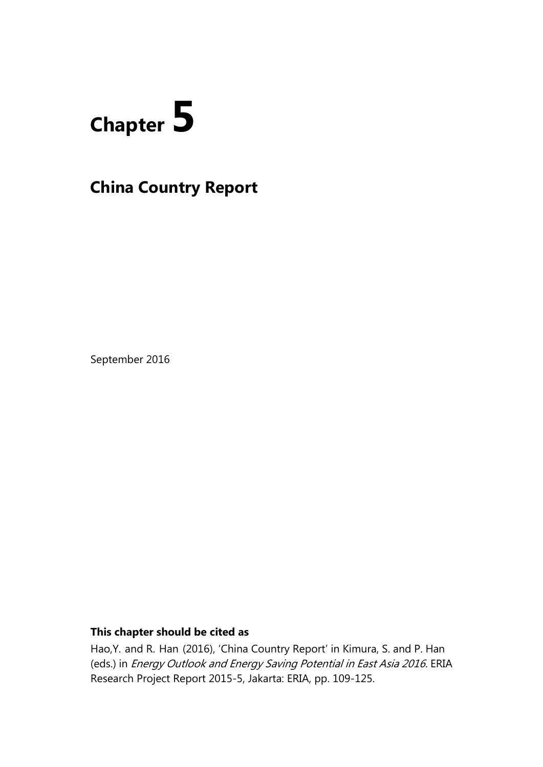# **Chapter 5**

# **China Country Report**

September 2016

# **This chapter should be cited as**

Hao,Y. and R. Han (2016), 'China Country Report' in Kimura, S. and P. Han (eds.) in Energy Outlook and Energy Saving Potential in East Asia 2016. ERIA Research Project Report 2015-5, Jakarta: ERIA, pp. 109-125.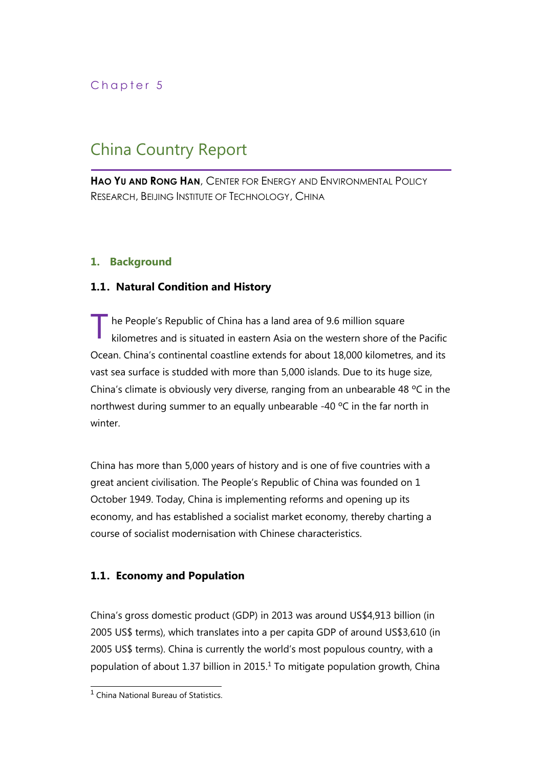# Chapter 5

# China Country Report

**HAO YU AND RONG HAN**, CENTER FOR ENERGY AND ENVIRONMENTAL POLICY RESEARCH, BEIJING INSTITUTE OF TECHNOLOGY, CHINA

# **1. Background**

# **1.1. Natural Condition and History**

he People's Republic of China has a land area of 9.6 million square kilometres and is situated in eastern Asia on the western shore of the Pacific Ocean. China's continental coastline extends for about 18,000 kilometres, and its vast sea surface is studded with more than 5,000 islands. Due to its huge size, China's climate is obviously very diverse, ranging from an unbearable 48 ºC in the northwest during summer to an equally unbearable -40 °C in the far north in winter. T

China has more than 5,000 years of history and is one of five countries with a great ancient civilisation. The People's Republic of China was founded on 1 October 1949. Today, China is implementing reforms and opening up its economy, and has established a socialist market economy, thereby charting a course of socialist modernisation with Chinese characteristics.

# **1.1. Economy and Population**

China's gross domestic product (GDP) in 2013 was around US\$4,913 billion (in 2005 US\$ terms), which translates into a per capita GDP of around US\$3,610 (in 2005 US\$ terms). China is currently the world's most populous country, with a population of about 1.37 billion in 2015.<sup>1</sup> To mitigate population growth, China

 1 China National Bureau of Statistics.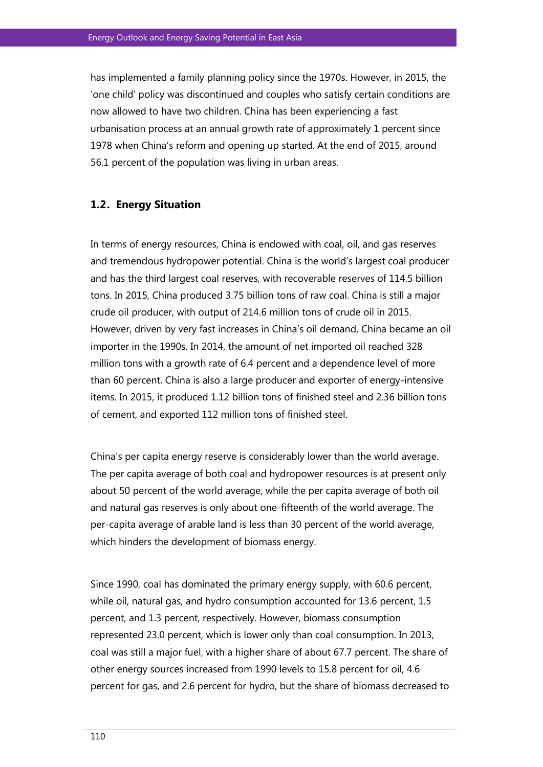has implemented a family planning policy since the 1970s. However, in 2015, the 'one child' policy was discontinued and couples who satisfy certain conditions are now allowed to have two children. China has been experiencing a fast urbanisation process at an annual growth rate of approximately 1 percent since 1978 when China's reform and opening up started. At the end of 2015, around 56.1 percent of the population was living in urban areas.

#### **1.2. Energy Situation**

In terms of energy resources, China is endowed with coal, oil, and gas reserves and tremendous hydropower potential. China is the world's largest [coal](http://en.wikipedia.org/wiki/Coal) producer and has the third largest coal reserves, with recoverable reserves of 114.5 billion tons. In 2015, China produced 3.75 billion tons of raw coal. China is still a major crude oil producer, with output of 214.6 million tons of crude oil in 2015. However, driven by very fast increases in China's oil demand, China became an oil importer in the 1990s. In 2014, the amount of net imported oil reached 328 million tons with a growth rate of 6.4 percent and a dependence level of more than 60 percent. China is also a large producer and exporter of energy-intensive items. In 2015, it produced 1.12 billion tons of finished steel and 2.36 billion tons of cement, and exported 112 million tons of finished steel.

China's per capita energy reserve is considerably lower than the world average. The per capita average of both coal and hydropower resources is at present only about 50 percent of the world average, while the per capita average of both oil and natural gas reserves is only about one-fifteenth of the world average. The per-capita average of arable land is less than 30 percent of the world average, which hinders the development of biomass energy.

Since 1990, coal has dominated the primary energy supply, with 60.6 percent, while oil, natural gas, and hydro consumption accounted for 13.6 percent, 1.5 percent, and 1.3 percent, respectively. However, biomass consumption represented 23.0 percent, which is lower only than coal consumption. In 2013, coal was still a major fuel, with a higher share of about 67.7 percent. The share of other energy sources increased from 1990 levels to 15.8 percent for oil, 4.6 percent for gas, and 2.6 percent for hydro, but the share of biomass decreased to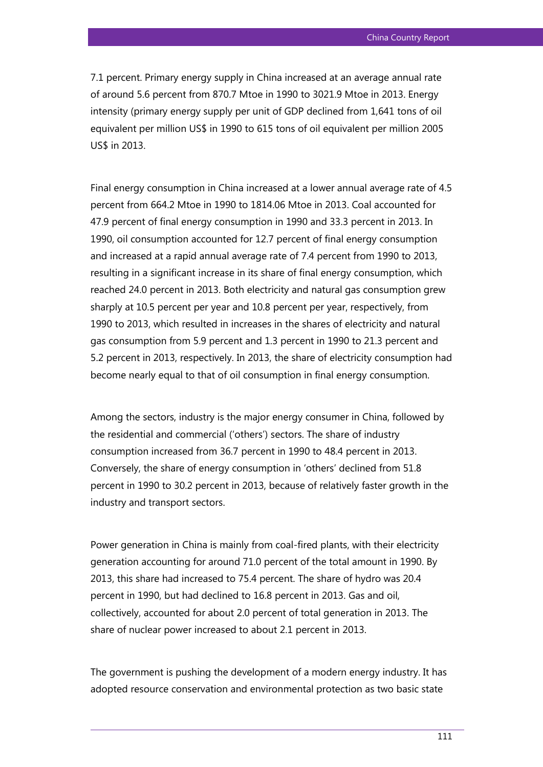7.1 percent. Primary energy supply in China increased at an average annual rate of around 5.6 percent from 870.7 Mtoe in 1990 to 3021.9 Mtoe in 2013. Energy intensity (primary energy supply per unit of GDP declined from 1,641 tons of oil equivalent per million US\$ in 1990 to 615 tons of oil equivalent per million 2005 US\$ in 2013.

Final energy consumption in China increased at a lower annual average rate of 4.5 percent from 664.2 Mtoe in 1990 to 1814.06 Mtoe in 2013. Coal accounted for 47.9 percent of final energy consumption in 1990 and 33.3 percent in 2013. In 1990, oil consumption accounted for 12.7 percent of final energy consumption and increased at a rapid annual average rate of 7.4 percent from 1990 to 2013, resulting in a significant increase in its share of final energy consumption, which reached 24.0 percent in 2013. Both electricity and natural gas consumption grew sharply at 10.5 percent per year and 10.8 percent per year, respectively, from 1990 to 2013, which resulted in increases in the shares of electricity and natural gas consumption from 5.9 percent and 1.3 percent in 1990 to 21.3 percent and 5.2 percent in 2013, respectively. In 2013, the share of electricity consumption had become nearly equal to that of oil consumption in final energy consumption.

Among the sectors, industry is the major energy consumer in China, followed by the residential and commercial ('others') sectors. The share of industry consumption increased from 36.7 percent in 1990 to 48.4 percent in 2013. Conversely, the share of energy consumption in 'others' declined from 51.8 percent in 1990 to 30.2 percent in 2013, because of relatively faster growth in the industry and transport sectors.

Power generation in China is mainly from coal-fired plants, with their electricity generation accounting for around 71.0 percent of the total amount in 1990. By 2013, this share had increased to 75.4 percent. The share of hydro was 20.4 percent in 1990, but had declined to 16.8 percent in 2013. Gas and oil, collectively, accounted for about 2.0 percent of total generation in 2013. The share of nuclear power increased to about 2.1 percent in 2013.

The government is pushing the development of a modern energy industry. It has adopted resource conservation and environmental protection as two basic state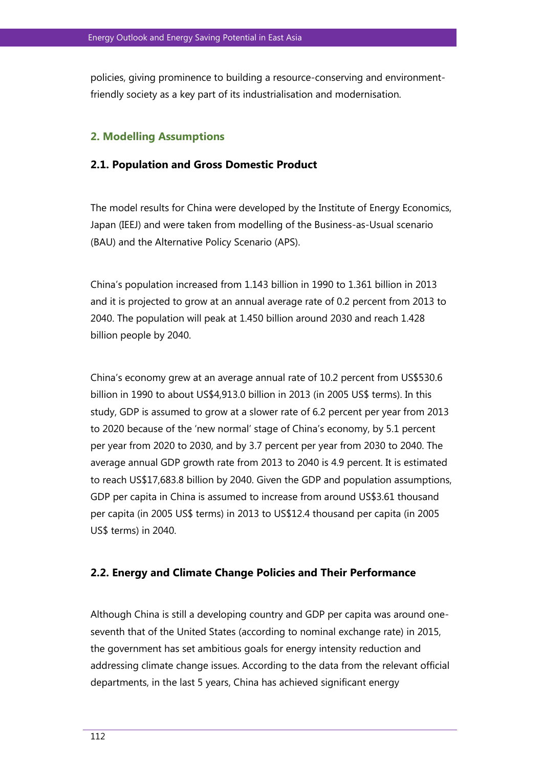policies, giving prominence to building a resource-conserving and environmentfriendly society as a key part of its industrialisation and modernisation.

#### **2. Modelling Assumptions**

#### **2.1. Population and Gross Domestic Product**

The model results for China were developed by the Institute of Energy Economics, Japan (IEEJ) and were taken from modelling of the Business-as-Usual scenario (BAU) and the Alternative Policy Scenario (APS).

China's population increased from 1.143 billion in 1990 to 1.361 billion in 2013 and it is projected to grow at an annual average rate of 0.2 percent from 2013 to 2040. The population will peak at 1.450 billion around 2030 and reach 1.428 billion people by 2040.

China's economy grew at an average annual rate of 10.2 percent from US\$530.6 billion in 1990 to about US\$4,913.0 billion in 2013 (in 2005 US\$ terms). In this study, GDP is assumed to grow at a slower rate of 6.2 percent per year from 2013 to 2020 because of the 'new normal' stage of China's economy, by 5.1 percent per year from 2020 to 2030, and by 3.7 percent per year from 2030 to 2040. The average annual GDP growth rate from 2013 to 2040 is 4.9 percent. It is estimated to reach US\$17,683.8 billion by 2040. Given the GDP and population assumptions, GDP per capita in China is assumed to increase from around US\$3.61 thousand per capita (in 2005 US\$ terms) in 2013 to US\$12.4 thousand per capita (in 2005 US\$ terms) in 2040.

#### **2.2. Energy and Climate Change Policies and Their Performance**

Although China is still a developing country and GDP per capita was around oneseventh that of the United States (according to nominal exchange rate) in 2015, the government has set ambitious goals for energy intensity reduction and addressing climate change issues. According to the data from the relevant official departments, in the last 5 years, China has achieved significant energy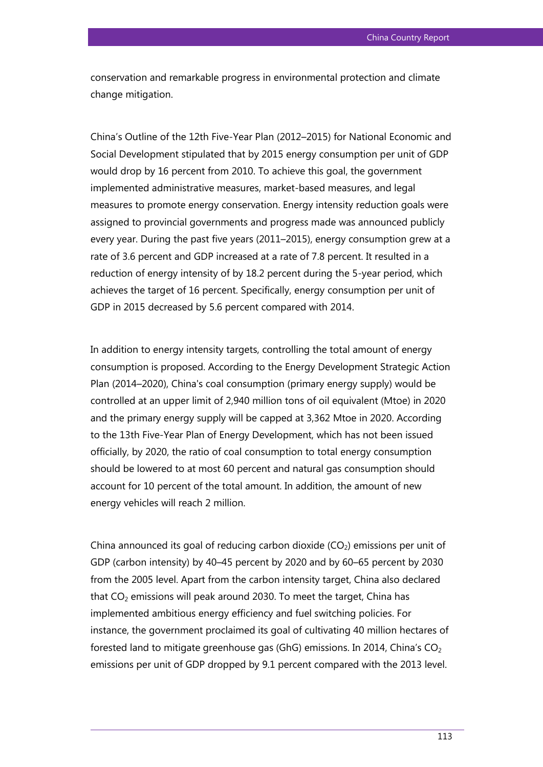conservation and remarkable progress in environmental protection and climate change mitigation.

China's Outline of the 12th Five-Year Plan (2012–2015) for National Economic and Social Development stipulated that by 2015 energy consumption per unit of GDP would drop by 16 percent from 2010. To achieve this goal, the government implemented administrative measures, market-based measures, and legal measures to promote energy conservation. Energy intensity reduction goals were assigned to provincial governments and progress made was announced publicly every year. During the past five years (2011–2015), energy consumption grew at a rate of 3.6 percent and GDP increased at a rate of 7.8 percent. It resulted in a reduction of energy intensity of by 18.2 percent during the 5-year period, which achieves the target of 16 percent. Specifically, energy consumption per unit of GDP in 2015 decreased by 5.6 percent compared with 2014.

In addition to energy intensity targets, controlling the total amount of energy consumption is proposed. According to the Energy Development Strategic Action Plan (2014–2020), China's coal consumption (primary energy supply) would be controlled at an upper limit of 2,940 million tons of oil equivalent (Mtoe) in 2020 and the primary energy supply will be capped at 3,362 Mtoe in 2020. According to the 13th Five-Year Plan of Energy Development, which has not been issued officially, by 2020, the ratio of coal consumption to total energy consumption should be lowered to at most 60 percent and natural gas consumption should account for 10 percent of the total amount. In addition, the amount of new energy vehicles will reach 2 million.

China announced its goal of reducing carbon dioxide  $(CO<sub>2</sub>)$  emissions per unit of GDP (carbon intensity) by 40–45 percent by 2020 and by 60–65 percent by 2030 from the 2005 level. Apart from the carbon intensity target, China also declared that  $CO<sub>2</sub>$  emissions will peak around 2030. To meet the target, China has implemented ambitious energy efficiency and fuel switching policies. For instance, the government proclaimed its goal of cultivating 40 million hectares of forested land to mitigate greenhouse gas (GhG) emissions. In 2014, China's  $CO<sub>2</sub>$ emissions per unit of GDP dropped by 9.1 percent compared with the 2013 level.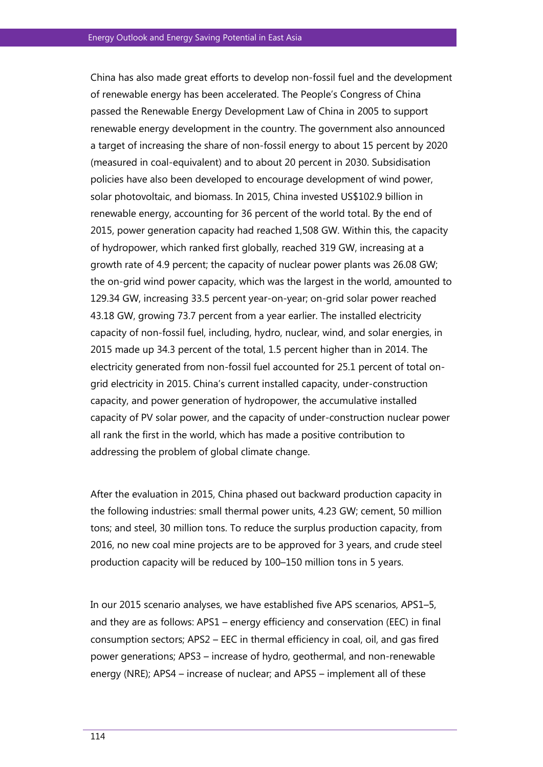China has also made great efforts to develop non-fossil fuel and the development of renewable energy has been accelerated. The People's Congress of China passed the Renewable Energy Development Law of China in 2005 to support renewable energy development in the country. The government also announced a target of increasing the share of non-fossil energy to about 15 percent by 2020 (measured in coal-equivalent) and to about 20 percent in 2030. Subsidisation policies have also been developed to encourage development of wind power, solar photovoltaic, and biomass. In 2015, China invested US\$102.9 billion in renewable energy, accounting for 36 percent of the world total. By the end of 2015, power generation capacity had reached 1,508 GW. Within this, the capacity of hydropower, which ranked first globally, reached 319 GW, increasing at a growth rate of 4.9 percent; the capacity of nuclear power plants was 26.08 GW; the on-grid wind power capacity, which was the largest in the world, amounted to 129.34 GW, increasing 33.5 percent year-on-year; on-grid solar power reached 43.18 GW, growing 73.7 percent from a year earlier. The installed electricity capacity of non-fossil fuel, including, hydro, nuclear, wind, and solar energies, in 2015 made up 34.3 percent of the total, 1.5 percent higher than in 2014. The electricity generated from non-fossil fuel accounted for 25.1 percent of total ongrid electricity in 2015. China's current installed capacity, under-construction capacity, and power generation of hydropower, the accumulative installed capacity of PV solar power, and the capacity of under-construction nuclear power all rank the first in the world, which has made a positive contribution to addressing the problem of global climate change.

After the evaluation in 2015, China phased out backward production capacity in the following industries: small thermal power units, 4.23 GW; cement, 50 million tons; and steel, 30 million tons. To reduce the surplus production capacity, from 2016, no new coal mine projects are to be approved for 3 years, and crude steel production capacity will be reduced by 100–150 million tons in 5 years.

In our 2015 scenario analyses, we have established five APS scenarios, APS1–5, and they are as follows: APS1 – energy efficiency and conservation (EEC) in final consumption sectors; APS2 – EEC in thermal efficiency in coal, oil, and gas fired power generations; APS3 – increase of hydro, geothermal, and non-renewable energy (NRE); APS4 – increase of nuclear; and APS5 – implement all of these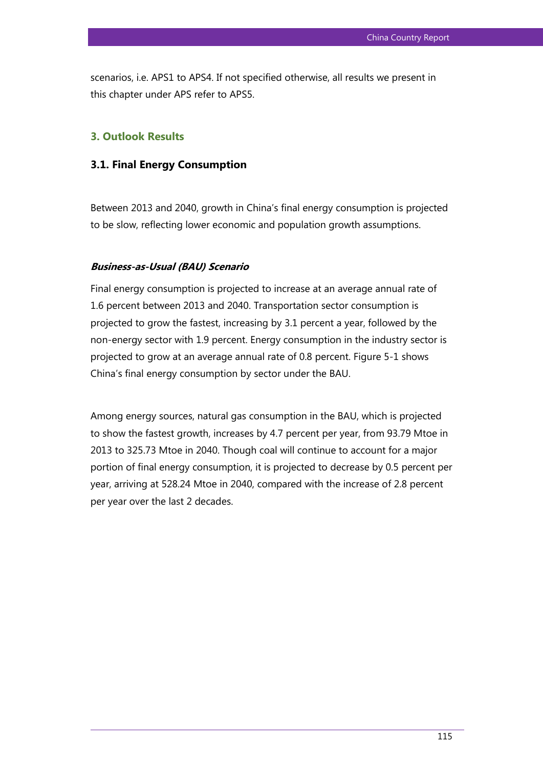scenarios, i.e. APS1 to APS4. If not specified otherwise, all results we present in this chapter under APS refer to APS5.

#### **3. Outlook Results**

#### **3.1. Final Energy Consumption**

Between 2013 and 2040, growth in China's final energy consumption is projected to be slow, reflecting lower economic and population growth assumptions.

#### **Business-as-Usual (BAU) Scenario**

Final energy consumption is projected to increase at an average annual rate of 1.6 percent between 2013 and 2040. Transportation sector consumption is projected to grow the fastest, increasing by 3.1 percent a year, followed by the non-energy sector with 1.9 percent. Energy consumption in the industry sector is projected to grow at an average annual rate of 0.8 percent. Figure 5-1 shows China's final energy consumption by sector under the BAU.

Among energy sources, natural gas consumption in the BAU, which is projected to show the fastest growth, increases by 4.7 percent per year, from 93.79 Mtoe in 2013 to 325.73 Mtoe in 2040. Though coal will continue to account for a major portion of final energy consumption, it is projected to decrease by 0.5 percent per year, arriving at 528.24 Mtoe in 2040, compared with the increase of 2.8 percent per year over the last 2 decades.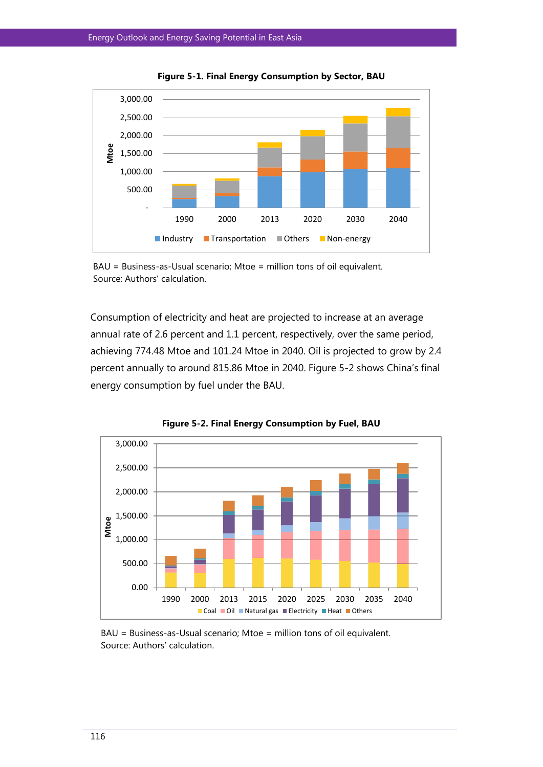

**Figure 5-1. Final Energy Consumption by Sector, BAU**



Consumption of electricity and heat are projected to increase at an average annual rate of 2.6 percent and 1.1 percent, respectively, over the same period, achieving 774.48 Mtoe and 101.24 Mtoe in 2040. Oil is projected to grow by 2.4 percent annually to around 815.86 Mtoe in 2040. Figure 5-2 shows China's final energy consumption by fuel under the BAU.



**Figure 5-2. Final Energy Consumption by Fuel, BAU**

BAU = Business-as-Usual scenario; Mtoe = million tons of oil equivalent. Source: Authors' calculation.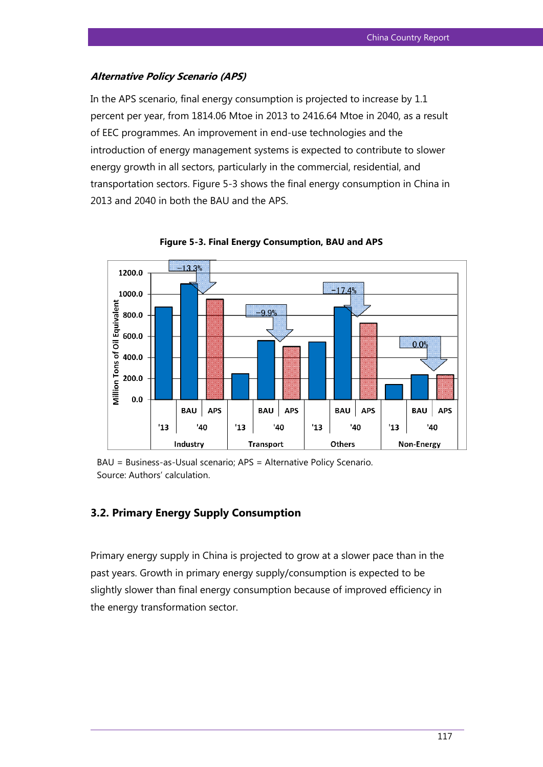# **Alternative Policy Scenario (APS)**

In the APS scenario, final energy consumption is projected to increase by 1.1 percent per year, from 1814.06 Mtoe in 2013 to 2416.64 Mtoe in 2040, as a result of EEC programmes. An improvement in end-use technologies and the introduction of energy management systems is expected to contribute to slower energy growth in all sectors, particularly in the commercial, residential, and transportation sectors. Figure 5-3 shows the final energy consumption in China in 2013 and 2040 in both the BAU and the APS.



**Figure 5-3. Final Energy Consumption, BAU and APS**

BAU = Business-as-Usual scenario; APS = Alternative Policy Scenario. Source: Authors' calculation.

# **3.2. Primary Energy Supply Consumption**

Primary energy supply in China is projected to grow at a slower pace than in the past years. Growth in primary energy supply/consumption is expected to be slightly slower than final energy consumption because of improved efficiency in the energy transformation sector.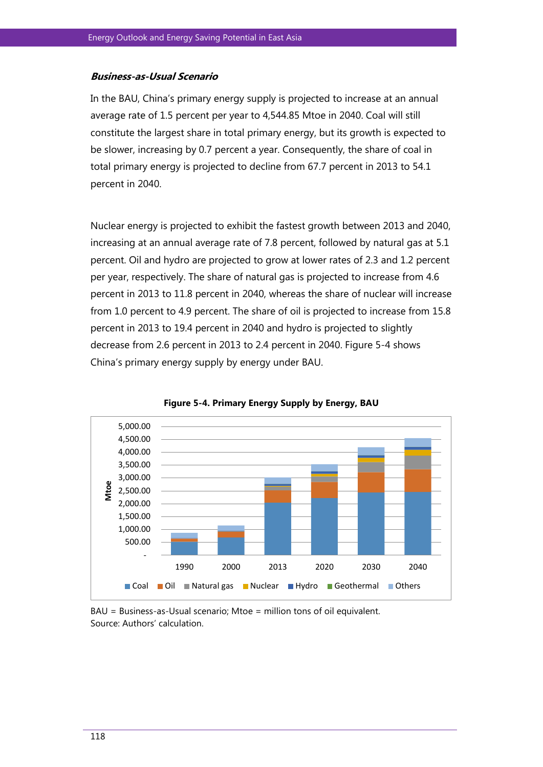#### **Business-as-Usual Scenario**

In the BAU, China's primary energy supply is projected to increase at an annual average rate of 1.5 percent per year to 4,544.85 Mtoe in 2040. Coal will still constitute the largest share in total primary energy, but its growth is expected to be slower, increasing by 0.7 percent a year. Consequently, the share of coal in total primary energy is projected to decline from 67.7 percent in 2013 to 54.1 percent in 2040.

Nuclear energy is projected to exhibit the fastest growth between 2013 and 2040, increasing at an annual average rate of 7.8 percent, followed by natural gas at 5.1 percent. Oil and hydro are projected to grow at lower rates of 2.3 and 1.2 percent per year, respectively. The share of natural gas is projected to increase from 4.6 percent in 2013 to 11.8 percent in 2040, whereas the share of nuclear will increase from 1.0 percent to 4.9 percent. The share of oil is projected to increase from 15.8 percent in 2013 to 19.4 percent in 2040 and hydro is projected to slightly decrease from 2.6 percent in 2013 to 2.4 percent in 2040. Figure 5-4 shows China's primary energy supply by energy under BAU.



**Figure 5-4. Primary Energy Supply by Energy, BAU**

BAU = Business-as-Usual scenario; Mtoe = million tons of oil equivalent. Source: Authors' calculation.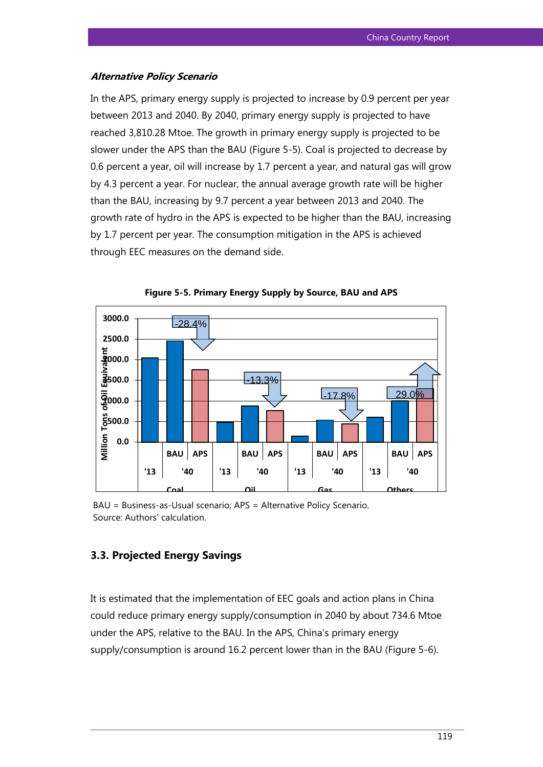#### **Alternative Policy Scenario**

In the APS, primary energy supply is projected to increase by 0.9 percent per year between 2013 and 2040. By 2040, primary energy supply is projected to have reached 3,810.28 Mtoe. The growth in primary energy supply is projected to be slower under the APS than the BAU (Figure 5-5). Coal is projected to decrease by 0.6 percent a year, oil will increase by 1.7 percent a year, and natural gas will grow by 4.3 percent a year. For nuclear, the annual average growth rate will be higher than the BAU, increasing by 9.7 percent a year between 2013 and 2040. The growth rate of hydro in the APS is expected to be higher than the BAU, increasing by 1.7 percent per year. The consumption mitigation in the APS is achieved through EEC measures on the demand side.





BAU = Business-as-Usual scenario; APS = Alternative Policy Scenario. Source: Authors' calculation.

# **3.3. Projected Energy Savings**

It is estimated that the implementation of EEC goals and action plans in China could reduce primary energy supply/consumption in 2040 by about 734.6 Mtoe under the APS, relative to the BAU. In the APS, China's primary energy supply/consumption is around 16.2 percent lower than in the BAU (Figure 5-6).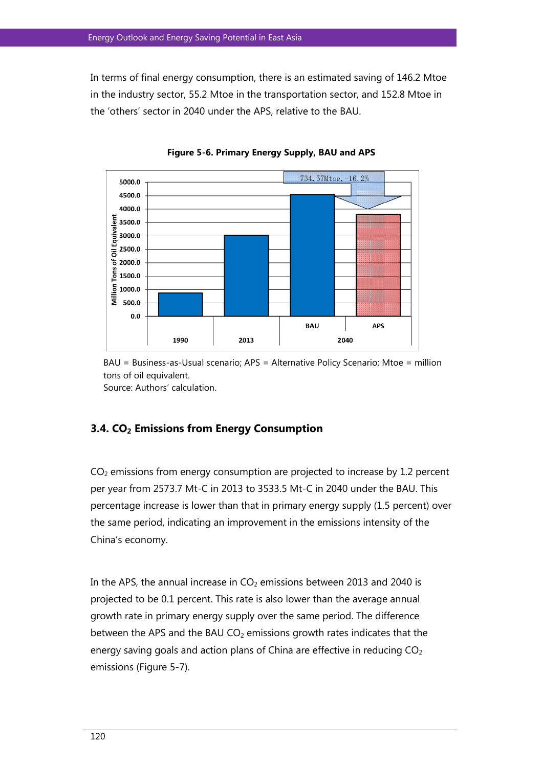In terms of final energy consumption, there is an estimated saving of 146.2 Mtoe in the industry sector, 55.2 Mtoe in the transportation sector, and 152.8 Mtoe in the 'others' sector in 2040 under the APS, relative to the BAU.



**Figure 5-6. Primary Energy Supply, BAU and APS**

BAU = Business-as-Usual scenario; APS = Alternative Policy Scenario; Mtoe = million tons of oil equivalent. Source: Authors' calculation.

#### **3.4. CO2 Emissions from Energy Consumption**

 $CO<sub>2</sub>$  emissions from energy consumption are projected to increase by 1.2 percent per year from 2573.7 Mt-C in 2013 to 3533.5 Mt-C in 2040 under the BAU. This percentage increase is lower than that in primary energy supply (1.5 percent) over the same period, indicating an improvement in the emissions intensity of the China's economy.

In the APS, the annual increase in  $CO<sub>2</sub>$  emissions between 2013 and 2040 is projected to be 0.1 percent. This rate is also lower than the average annual growth rate in primary energy supply over the same period. The difference between the APS and the BAU  $CO<sub>2</sub>$  emissions growth rates indicates that the energy saving goals and action plans of China are effective in reducing  $CO<sub>2</sub>$ emissions (Figure 5-7).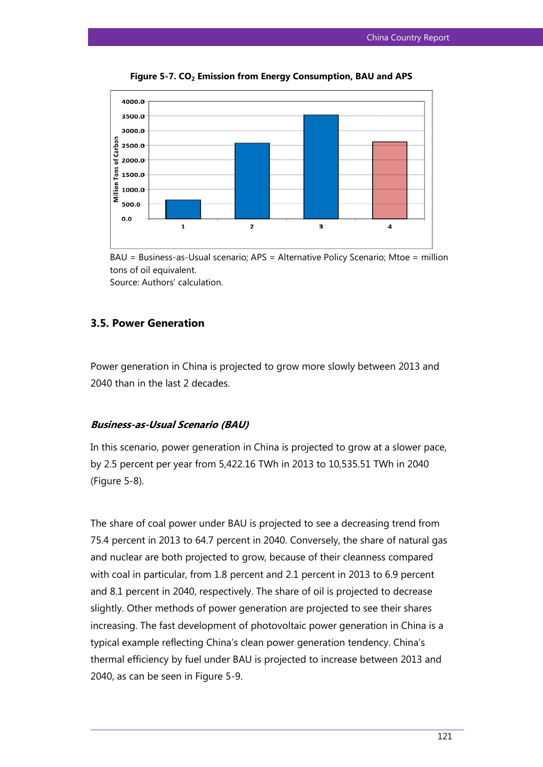

**Figure 5-7. CO2 Emission from Energy Consumption, BAU and APS**

BAU = Business-as-Usual scenario; APS = Alternative Policy Scenario; Mtoe = million tons of oil equivalent. Source: Authors' calculation.

#### **3.5. Power Generation**

Power generation in China is projected to grow more slowly between 2013 and 2040 than in the last 2 decades.

#### **Business-as-Usual Scenario (BAU)**

In this scenario, power generation in China is projected to grow at a slower pace, by 2.5 percent per year from 5,422.16 TWh in 2013 to 10,535.51 TWh in 2040 (Figure 5-8).

The share of coal power under BAU is projected to see a decreasing trend from 75.4 percent in 2013 to 64.7 percent in 2040. Conversely, the share of natural gas and nuclear are both projected to grow, because of their cleanness compared with coal in particular, from 1.8 percent and 2.1 percent in 2013 to 6.9 percent and 8.1 percent in 2040, respectively. The share of oil is projected to decrease slightly. Other methods of power generation are projected to see their shares increasing. The fast development of photovoltaic power generation in China is a typical example reflecting China's clean power generation tendency. China's thermal efficiency by fuel under BAU is projected to increase between 2013 and 2040, as can be seen in Figure 5-9.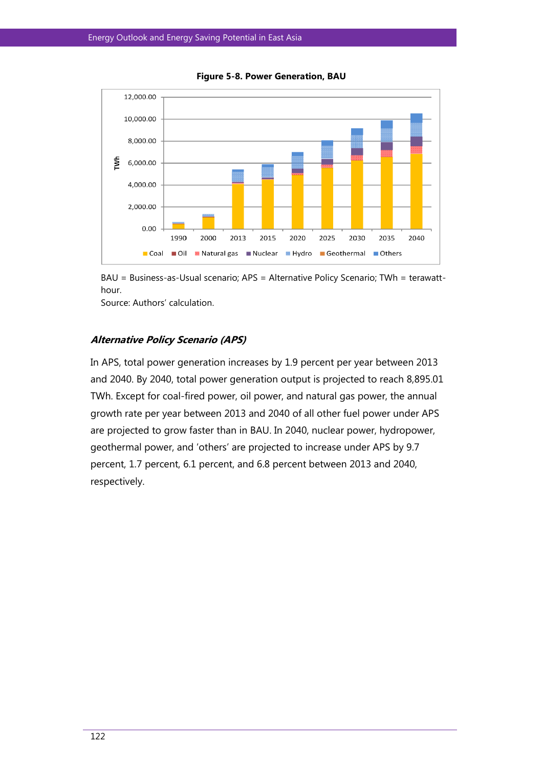

**Figure 5-8. Power Generation, BAU**

BAU = Business-as-Usual scenario; APS = Alternative Policy Scenario; TWh = terawatthour.

Source: Authors' calculation.

#### **Alternative Policy Scenario (APS)**

In APS, total power generation increases by 1.9 percent per year between 2013 and 2040. By 2040, total power generation output is projected to reach 8,895.01 TWh. Except for coal-fired power, oil power, and natural gas power, the annual growth rate per year between 2013 and 2040 of all other fuel power under APS are projected to grow faster than in BAU. In 2040, nuclear power, hydropower, geothermal power, and 'others' are projected to increase under APS by 9.7 percent, 1.7 percent, 6.1 percent, and 6.8 percent between 2013 and 2040, respectively.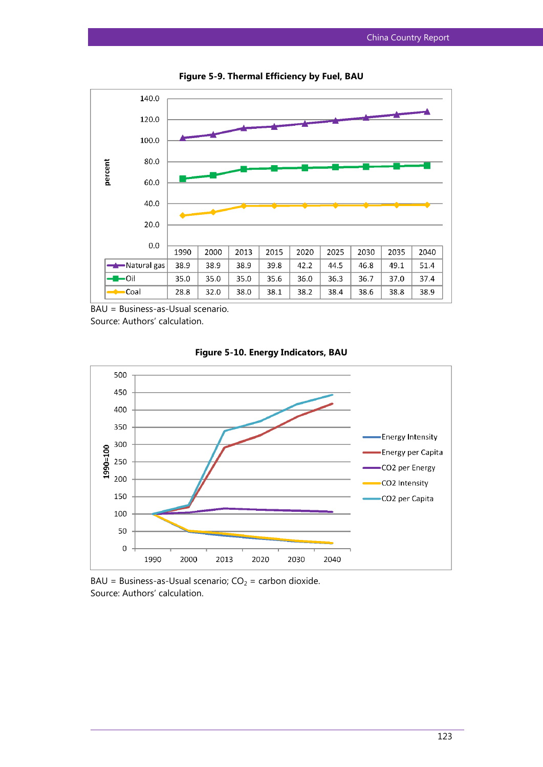

**Figure 5-9. Thermal Efficiency by Fuel, BAU**

BAU = Business-as-Usual scenario.

Source: Authors' calculation.





 $BAU = Business-Usual scenario; CO<sub>2</sub> = carbon dioxide.$ Source: Authors' calculation.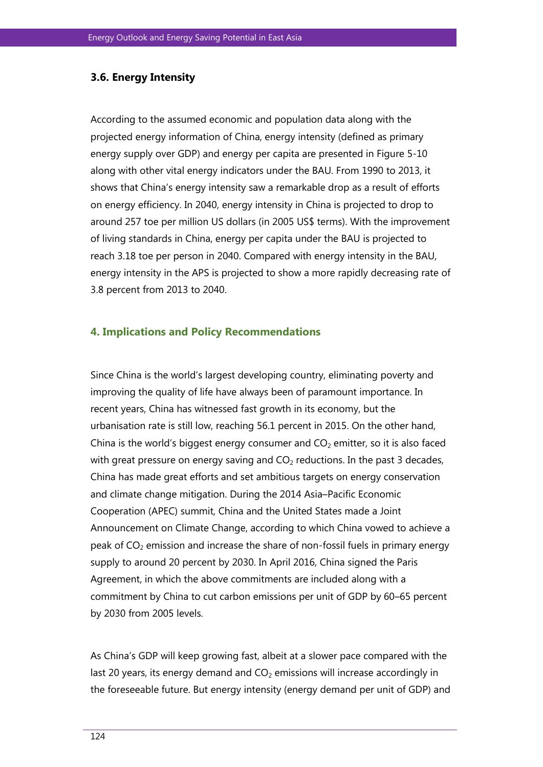#### **3.6. Energy Intensity**

According to the assumed economic and population data along with the projected energy information of China, energy intensity (defined as primary energy supply over GDP) and energy per capita are presented in Figure 5-10 along with other vital energy indicators under the BAU. From 1990 to 2013, it shows that China's energy intensity saw a remarkable drop as a result of efforts on energy efficiency. In 2040, energy intensity in China is projected to drop to around 257 toe per million US dollars (in 2005 US\$ terms). With the improvement of living standards in China, energy per capita under the BAU is projected to reach 3.18 toe per person in 2040. Compared with energy intensity in the BAU, energy intensity in the APS is projected to show a more rapidly decreasing rate of 3.8 percent from 2013 to 2040.

#### **4. Implications and Policy Recommendations**

Since China is the world's largest developing country, eliminating poverty and improving the quality of life have always been of paramount importance. In recent years, China has witnessed fast growth in its economy, but the urbanisation rate is still low, reaching 56.1 percent in 2015. On the other hand, China is the world's biggest energy consumer and  $CO<sub>2</sub>$  emitter, so it is also faced with great pressure on energy saving and  $CO<sub>2</sub>$  reductions. In the past 3 decades, China has made great efforts and set ambitious targets on energy conservation and climate change mitigation. During the 2014 Asia–Pacific Economic Cooperation (APEC) summit, China and the United States made a Joint Announcement on Climate Change, according to which China vowed to achieve a peak of  $CO<sub>2</sub>$  emission and increase the share of non-fossil fuels in primary energy supply to around 20 percent by 2030. In April 2016, China signed the Paris Agreement, in which the above commitments are included along with a commitment by China to cut carbon emissions per unit of GDP by 60–65 percent by 2030 from 2005 levels.

As China's GDP will keep growing fast, albeit at a slower pace compared with the last 20 years, its energy demand and  $CO<sub>2</sub>$  emissions will increase accordingly in the foreseeable future. But energy intensity (energy demand per unit of GDP) and